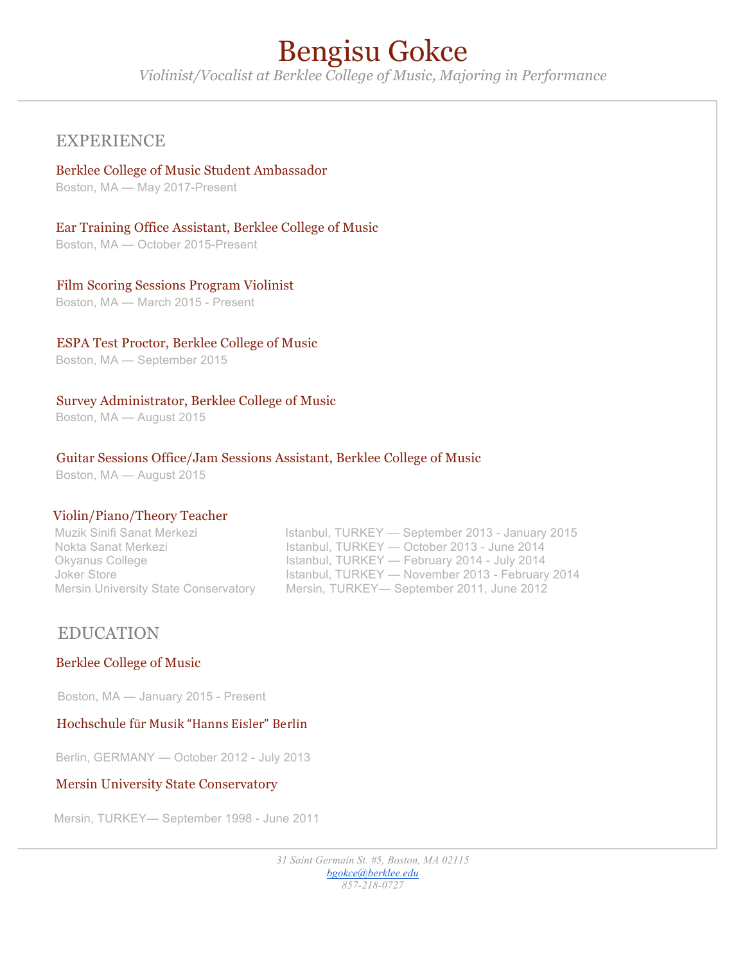# Bengisu Gokce

*Violinist/Vocalist at Berklee College of Music, Majoring in Performance*

## EXPERIENCE

#### Berklee College of Music Student Ambassador

Boston, MA — May 2017-Present

#### Ear Training Office Assistant, Berklee College of Music

Boston, MA — October 2015-Present

#### Film Scoring Sessions Program Violinist

Boston, MA — March 2015 - Present

#### ESPA Test Proctor, Berklee College of Music

Boston, MA — September 2015

#### Survey Administrator, Berklee College of Music

Boston, MA — August 2015

#### Guitar Sessions Office/Jam Sessions Assistant, Berklee College of Music

Boston, MA — August 2015

#### Violin/Piano/Theory Teacher

| Muzik Sinifi Sanat Merkezi                  | Istanbul, TURKEY — September 2013 - January 2015 |
|---------------------------------------------|--------------------------------------------------|
| Nokta Sanat Merkezi                         | Istanbul, TURKEY — October 2013 - June 2014      |
| Okyanus College                             | Istanbul, TURKEY — February 2014 - July 2014     |
| Joker Store                                 | Istanbul, TURKEY — November 2013 - February 2014 |
| <b>Mersin University State Conservatory</b> | Mersin, TURKEY— September 2011, June 2012        |
|                                             |                                                  |

### EDUCATION

#### Berklee College of Music

Boston, MA — January 2015 - Present

#### Hochschule für Musik "Hanns Eisler" Berlin

Berlin, GERMANY — October 2012 - July 2013

#### Mersin University State Conservatory

Mersin, TURKEY— September 1998 - June 2011